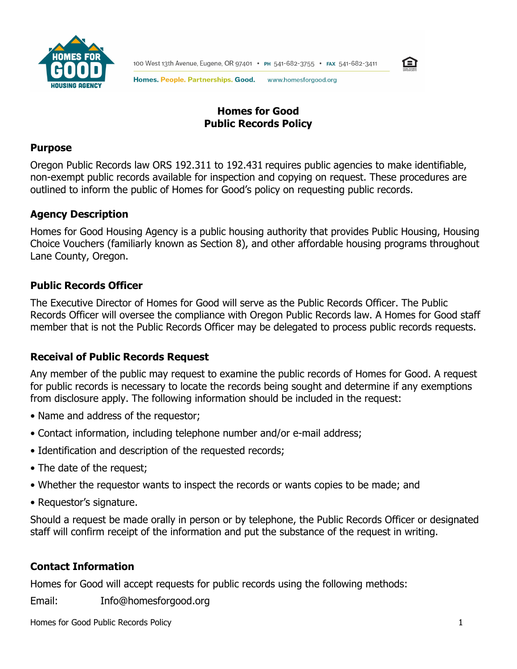



Homes. People. Partnerships. Good. www.homesforgood.org

# **Homes for Good Public Records Policy**

### **Purpose**

Oregon Public Records law ORS 192.311 to 192.431 requires public agencies to make identifiable, non-exempt public records available for inspection and copying on request. These procedures are outlined to inform the public of Homes for Good's policy on requesting public records.

# **Agency Description**

Homes for Good Housing Agency is a public housing authority that provides Public Housing, Housing Choice Vouchers (familiarly known as Section 8), and other affordable housing programs throughout Lane County, Oregon.

# **Public Records Officer**

The Executive Director of Homes for Good will serve as the Public Records Officer. The Public Records Officer will oversee the compliance with Oregon Public Records law. A Homes for Good staff member that is not the Public Records Officer may be delegated to process public records requests.

# **Receival of Public Records Request**

Any member of the public may request to examine the public records of Homes for Good. A request for public records is necessary to locate the records being sought and determine if any exemptions from disclosure apply. The following information should be included in the request:

- Name and address of the requestor;
- Contact information, including telephone number and/or e-mail address;
- Identification and description of the requested records;
- The date of the request;
- Whether the requestor wants to inspect the records or wants copies to be made; and
- Requestor's signature.

Should a request be made orally in person or by telephone, the Public Records Officer or designated staff will confirm receipt of the information and put the substance of the request in writing.

# **Contact Information**

Homes for Good will accept requests for public records using the following methods:

Email: Info@homesforgood.org

Homes for Good Public Records Policy 1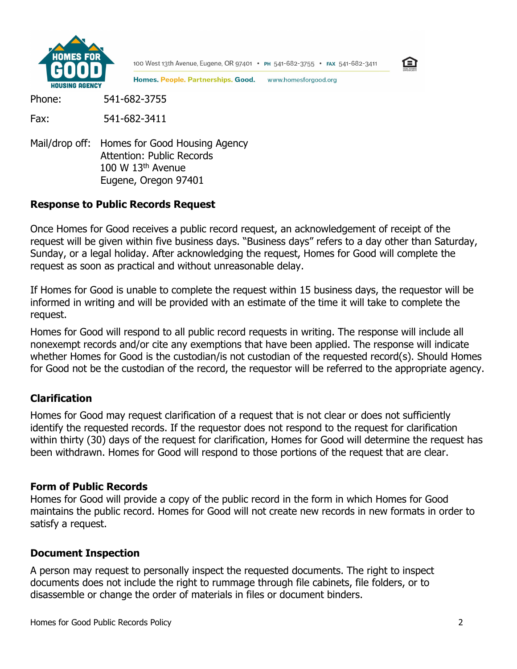

100 West 13th Avenue, Eugene, OR 97401 • PH 541-682-3755 • FAX 541-682-3411



Homes. People. Partnerships. Good. www.homesforgood.org

Phone: 541-682-3755

Fax: 541-682-3411

Mail/drop off: Homes for Good Housing Agency Attention: Public Records  $100 W 13<sup>th</sup>$  Avenue Eugene, Oregon 97401

#### **Response to Public Records Request**

Once Homes for Good receives a public record request, an acknowledgement of receipt of the request will be given within five business days. "Business days" refers to a day other than Saturday, Sunday, or a legal holiday. After acknowledging the request, Homes for Good will complete the request as soon as practical and without unreasonable delay.

If Homes for Good is unable to complete the request within 15 business days, the requestor will be informed in writing and will be provided with an estimate of the time it will take to complete the request.

Homes for Good will respond to all public record requests in writing. The response will include all nonexempt records and/or cite any exemptions that have been applied. The response will indicate whether Homes for Good is the custodian/is not custodian of the requested record(s). Should Homes for Good not be the custodian of the record, the requestor will be referred to the appropriate agency.

#### **Clarification**

Homes for Good may request clarification of a request that is not clear or does not sufficiently identify the requested records. If the requestor does not respond to the request for clarification within thirty (30) days of the request for clarification, Homes for Good will determine the request has been withdrawn. Homes for Good will respond to those portions of the request that are clear.

#### **Form of Public Records**

Homes for Good will provide a copy of the public record in the form in which Homes for Good maintains the public record. Homes for Good will not create new records in new formats in order to satisfy a request.

#### **Document Inspection**

A person may request to personally inspect the requested documents. The right to inspect documents does not include the right to rummage through file cabinets, file folders, or to disassemble or change the order of materials in files or document binders.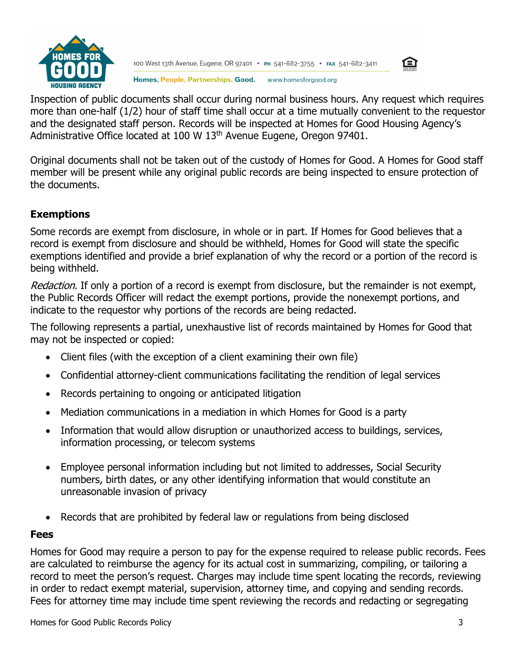

100 West 13th Avenue, Eugene, OR 97401 • PH 541-682-3755 • FAX 541-682-3411



Homes. People. Partnerships. Good. www.homesforgood.org

Inspection of public documents shall occur during normal business hours. Any request which requires more than one-half (1/2) hour of staff time shall occur at a time mutually convenient to the requestor and the designated staff person. Records will be inspected at Homes for Good Housing Agency's Administrative Office located at 100 W 13<sup>th</sup> Avenue Eugene, Oregon 97401.

Original documents shall not be taken out of the custody of Homes for Good. A Homes for Good staff member will be present while any original public records are being inspected to ensure protection of the documents.

# **Exemptions**

Some records are exempt from disclosure, in whole or in part. If Homes for Good believes that a record is exempt from disclosure and should be withheld, Homes for Good will state the specific exemptions identified and provide a brief explanation of why the record or a portion of the record is being withheld.

Redaction. If only a portion of a record is exempt from disclosure, but the remainder is not exempt, the Public Records Officer will redact the exempt portions, provide the nonexempt portions, and indicate to the requestor why portions of the records are being redacted.

The following represents a partial, unexhaustive list of records maintained by Homes for Good that may not be inspected or copied:

- Client files (with the exception of a client examining their own file)
- [Confidential attorney-client communications facilitating the rendition of legal services](https://justice.oregon.gov/PublicRecordsExemptions/)
- [Records pertaining to ongoing or anticipated litigation](https://justice.oregon.gov/PublicRecordsExemptions/)
- [Mediation communications in a mediation in which Homes for Good](https://justice.oregon.gov/PublicRecordsExemptions/) is a party
- [Information that would allow disruption or unauthorized access to buildings, services,](https://justice.oregon.gov/PublicRecordsExemptions/) [information processing, or telecom systems](https://justice.oregon.gov/PublicRecordsExemptions/)
- Employee personal information including but not limited to addresses, Social Security numbers, birth dates, or any other identifying information that would constitute an unreasonable invasion of privacy
- [Records that are prohibited by federal law or regulations from being disclosed](https://justice.oregon.gov/PublicRecordsExemptions/)

#### **Fees**

Homes for Good may require a person to pay for the expense required to release public records. Fees are calculated to reimburse the agency for its actual cost in summarizing, compiling, or tailoring a record to meet the person's request. Charges may include time spent locating the records, reviewing in order to redact exempt material, supervision, attorney time, and copying and sending records. Fees for attorney time may include time spent reviewing the records and redacting or segregating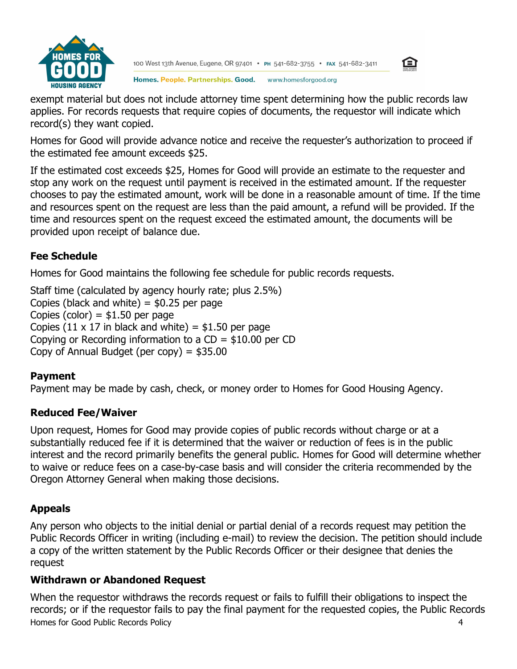

100 West 13th Avenue, Eugene, OR 97401 • PH 541-682-3755 • FAX 541-682-3411



Homes. People. Partnerships. Good. www.homesforgood.org

exempt material but does not include attorney time spent determining how the public records law applies. For records requests that require copies of documents, the requestor will indicate which record(s) they want copied.

Homes for Good will provide advance notice and receive the requester's authorization to proceed if the estimated fee amount exceeds \$25.

If the estimated cost exceeds \$25, Homes for Good will provide an estimate to the requester and stop any work on the request until payment is received in the estimated amount. If the requester chooses to pay the estimated amount, work will be done in a reasonable amount of time. If the time and resources spent on the request are less than the paid amount, a refund will be provided. If the time and resources spent on the request exceed the estimated amount, the documents will be provided upon receipt of balance due.

# **Fee Schedule**

Homes for Good maintains the following fee schedule for public records requests.

Staff time (calculated by agency hourly rate; plus 2.5%) Copies (black and white)  $=$  \$0.25 per page Copies (color) =  $$1.50$  per page Copies (11  $\times$  17 in black and white) = \$1.50 per page Copying or Recording information to a  $CD = $10.00$  per CD Copy of Annual Budget (per copy) =  $$35.00$ 

# **Payment**

Payment may be made by cash, check, or money order to Homes for Good Housing Agency.

# **Reduced Fee/Waiver**

Upon request, Homes for Good may provide copies of public records without charge or at a substantially reduced fee if it is determined that the waiver or reduction of fees is in the public interest and the record primarily benefits the general public. Homes for Good will determine whether to waive or reduce fees on a case-by-case basis and will consider the criteria recommended by the Oregon Attorney General when making those decisions.

# **Appeals**

Any person who objects to the initial denial or partial denial of a records request may petition the Public Records Officer in writing (including e-mail) to review the decision. The petition should include a copy of the written statement by the Public Records Officer or their designee that denies the request

# **Withdrawn or Abandoned Request**

Homes for Good Public Records Policy 4 When the requestor withdraws the records request or fails to fulfill their obligations to inspect the records; or if the requestor fails to pay the final payment for the requested copies, the Public Records